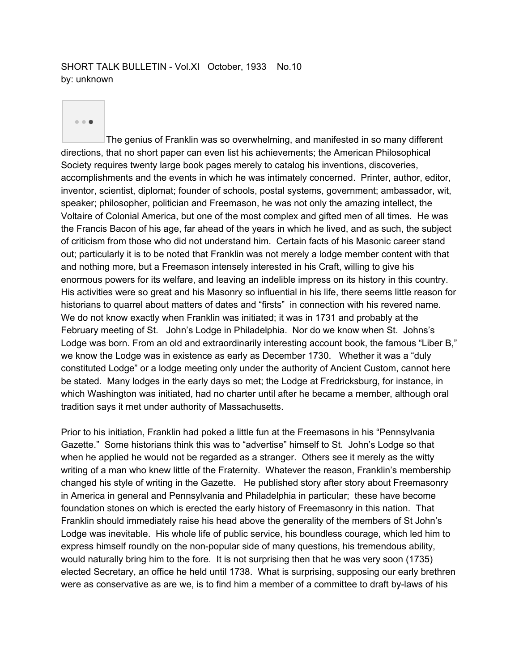## SHORT TALK BULLETIN - Vol.XI October, 1933 No.10 by: unknown

 $- - -$ 

The genius of Franklin was so overwhelming, and manifested in so many different directions, that no short paper can even list his achievements; the American Philosophical Society requires twenty large book pages merely to catalog his inventions, discoveries, accomplishments and the events in which he was intimately concerned. Printer, author, editor, inventor, scientist, diplomat; founder of schools, postal systems, government; ambassador, wit, speaker; philosopher, politician and Freemason, he was not only the amazing intellect, the Voltaire of Colonial America, but one of the most complex and gifted men of all times. He was the Francis Bacon of his age, far ahead of the years in which he lived, and as such, the subject of criticism from those who did not understand him. Certain facts of his Masonic career stand out; particularly it is to be noted that Franklin was not merely a lodge member content with that and nothing more, but a Freemason intensely interested in his Craft, willing to give his enormous powers for its welfare, and leaving an indelible impress on its history in this country. His activities were so great and his Masonry so influential in his life, there seems little reason for historians to quarrel about matters of dates and "firsts" in connection with his revered name. We do not know exactly when Franklin was initiated; it was in 1731 and probably at the February meeting of St. John's Lodge in Philadelphia. Nor do we know when St. Johns's Lodge was born. From an old and extraordinarily interesting account book, the famous "Liber B," we know the Lodge was in existence as early as December 1730. Whether it was a "duly constituted Lodge" or a lodge meeting only under the authority of Ancient Custom, cannot here be stated. Many lodges in the early days so met; the Lodge at Fredricksburg, for instance, in which Washington was initiated, had no charter until after he became a member, although oral tradition says it met under authority of Massachusetts.

Prior to his initiation, Franklin had poked a little fun at the Freemasons in his "Pennsylvania Gazette." Some historians think this was to "advertise" himself to St. John's Lodge so that when he applied he would not be regarded as a stranger. Others see it merely as the witty writing of a man who knew little of the Fraternity. Whatever the reason, Franklin's membership changed his style of writing in the Gazette. He published story after story about Freemasonry in America in general and Pennsylvania and Philadelphia in particular; these have become foundation stones on which is erected the early history of Freemasonry in this nation. That Franklin should immediately raise his head above the generality of the members of St John's Lodge was inevitable. His whole life of public service, his boundless courage, which led him to express himself roundly on the non-popular side of many questions, his tremendous ability, would naturally bring him to the fore. It is not surprising then that he was very soon (1735) elected Secretary, an office he held until 1738. What is surprising, supposing our early brethren were as conservative as are we, is to find him a member of a committee to draft by-laws of his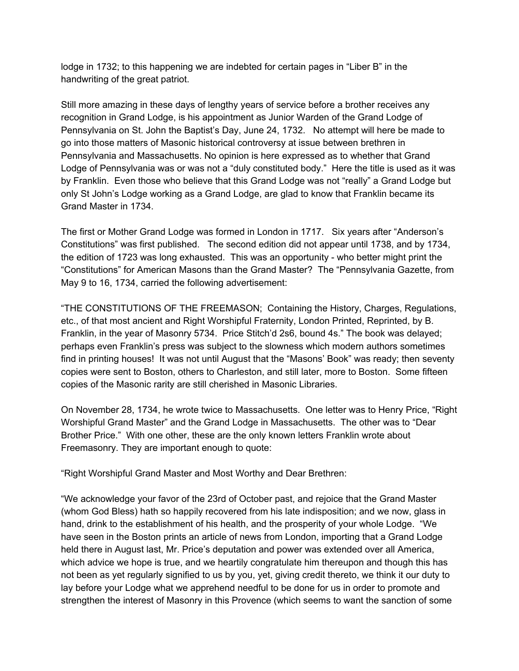lodge in 1732; to this happening we are indebted for certain pages in "Liber B" in the handwriting of the great patriot.

Still more amazing in these days of lengthy years of service before a brother receives any recognition in Grand Lodge, is his appointment as Junior Warden of the Grand Lodge of Pennsylvania on St. John the Baptist's Day, June 24, 1732. No attempt will here be made to go into those matters of Masonic historical controversy at issue between brethren in Pennsylvania and Massachusetts. No opinion is here expressed as to whether that Grand Lodge of Pennsylvania was or was not a "duly constituted body." Here the title is used as it was by Franklin. Even those who believe that this Grand Lodge was not "really" a Grand Lodge but only St John's Lodge working as a Grand Lodge, are glad to know that Franklin became its Grand Master in 1734.

The first or Mother Grand Lodge was formed in London in 1717. Six years after "Anderson's Constitutions" was first published. The second edition did not appear until 1738, and by 1734, the edition of 1723 was long exhausted. This was an opportunity - who better might print the "Constitutions" for American Masons than the Grand Master? The "Pennsylvania Gazette, from May 9 to 16, 1734, carried the following advertisement:

"THE CONSTITUTIONS OF THE FREEMASON; Containing the History, Charges, Regulations, etc., of that most ancient and Right Worshipful Fraternity, London Printed, Reprinted, by B. Franklin, in the year of Masonry 5734. Price Stitch'd 2s6, bound 4s." The book was delayed; perhaps even Franklin's press was subject to the slowness which modern authors sometimes find in printing houses! It was not until August that the "Masons' Book" was ready; then seventy copies were sent to Boston, others to Charleston, and still later, more to Boston. Some fifteen copies of the Masonic rarity are still cherished in Masonic Libraries.

On November 28, 1734, he wrote twice to Massachusetts. One letter was to Henry Price, "Right Worshipful Grand Master" and the Grand Lodge in Massachusetts. The other was to "Dear Brother Price." With one other, these are the only known letters Franklin wrote about Freemasonry. They are important enough to quote:

"Right Worshipful Grand Master and Most Worthy and Dear Brethren:

"We acknowledge your favor of the 23rd of October past, and rejoice that the Grand Master (whom God Bless) hath so happily recovered from his late indisposition; and we now, glass in hand, drink to the establishment of his health, and the prosperity of your whole Lodge. "We have seen in the Boston prints an article of news from London, importing that a Grand Lodge held there in August last, Mr. Price's deputation and power was extended over all America, which advice we hope is true, and we heartily congratulate him thereupon and though this has not been as yet regularly signified to us by you, yet, giving credit thereto, we think it our duty to lay before your Lodge what we apprehend needful to be done for us in order to promote and strengthen the interest of Masonry in this Provence (which seems to want the sanction of some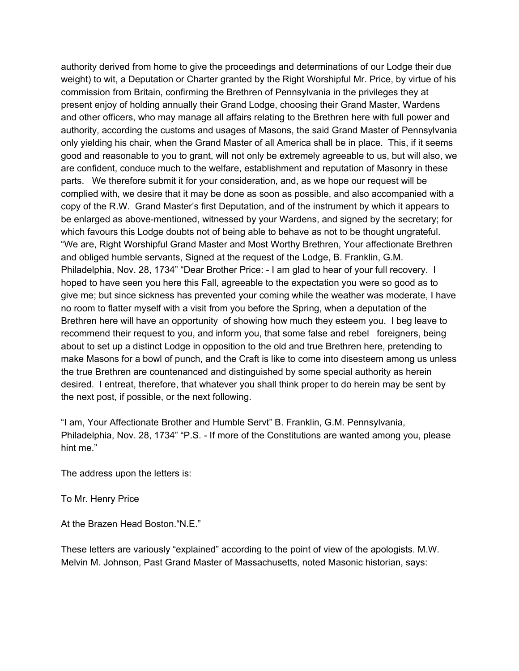authority derived from home to give the proceedings and determinations of our Lodge their due weight) to wit, a Deputation or Charter granted by the Right Worshipful Mr. Price, by virtue of his commission from Britain, confirming the Brethren of Pennsylvania in the privileges they at present enjoy of holding annually their Grand Lodge, choosing their Grand Master, Wardens and other officers, who may manage all affairs relating to the Brethren here with full power and authority, according the customs and usages of Masons, the said Grand Master of Pennsylvania only yielding his chair, when the Grand Master of all America shall be in place. This, if it seems good and reasonable to you to grant, will not only be extremely agreeable to us, but will also, we are confident, conduce much to the welfare, establishment and reputation of Masonry in these parts. We therefore submit it for your consideration, and, as we hope our request will be complied with, we desire that it may be done as soon as possible, and also accompanied with a copy of the R.W. Grand Master's first Deputation, and of the instrument by which it appears to be enlarged as above-mentioned, witnessed by your Wardens, and signed by the secretary; for which favours this Lodge doubts not of being able to behave as not to be thought ungrateful. "We are, Right Worshipful Grand Master and Most Worthy Brethren, Your affectionate Brethren and obliged humble servants, Signed at the request of the Lodge, B. Franklin, G.M. Philadelphia, Nov. 28, 1734" "Dear Brother Price: - I am glad to hear of your full recovery. I hoped to have seen you here this Fall, agreeable to the expectation you were so good as to give me; but since sickness has prevented your coming while the weather was moderate, I have no room to flatter myself with a visit from you before the Spring, when a deputation of the Brethren here will have an opportunity of showing how much they esteem you. I beg leave to recommend their request to you, and inform you, that some false and rebel foreigners, being about to set up a distinct Lodge in opposition to the old and true Brethren here, pretending to make Masons for a bowl of punch, and the Craft is like to come into disesteem among us unless the true Brethren are countenanced and distinguished by some special authority as herein desired. I entreat, therefore, that whatever you shall think proper to do herein may be sent by the next post, if possible, or the next following.

"I am, Your Affectionate Brother and Humble Servt" B. Franklin, G.M. Pennsylvania, Philadelphia, Nov. 28, 1734" "P.S. - If more of the Constitutions are wanted among you, please hint me."

The address upon the letters is:

To Mr. Henry Price

At the Brazen Head Boston."N.E."

These letters are variously "explained" according to the point of view of the apologists. M.W. Melvin M. Johnson, Past Grand Master of Massachusetts, noted Masonic historian, says: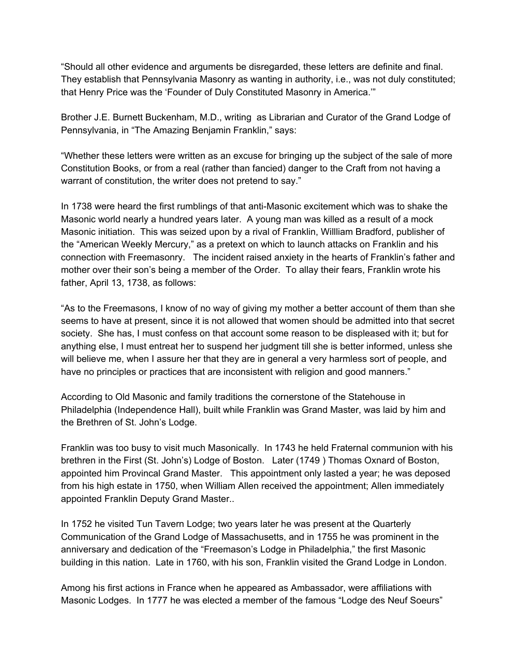"Should all other evidence and arguments be disregarded, these letters are definite and final. They establish that Pennsylvania Masonry as wanting in authority, i.e., was not duly constituted; that Henry Price was the 'Founder of Duly Constituted Masonry in America.'"

Brother J.E. Burnett Buckenham, M.D., writing as Librarian and Curator of the Grand Lodge of Pennsylvania, in "The Amazing Benjamin Franklin," says:

"Whether these letters were written as an excuse for bringing up the subject of the sale of more Constitution Books, or from a real (rather than fancied) danger to the Craft from not having a warrant of constitution, the writer does not pretend to say."

In 1738 were heard the first rumblings of that anti-Masonic excitement which was to shake the Masonic world nearly a hundred years later. A young man was killed as a result of a mock Masonic initiation. This was seized upon by a rival of Franklin, Willliam Bradford, publisher of the "American Weekly Mercury," as a pretext on which to launch attacks on Franklin and his connection with Freemasonry. The incident raised anxiety in the hearts of Franklin's father and mother over their son's being a member of the Order. To allay their fears, Franklin wrote his father, April 13, 1738, as follows:

"As to the Freemasons, I know of no way of giving my mother a better account of them than she seems to have at present, since it is not allowed that women should be admitted into that secret society. She has, I must confess on that account some reason to be displeased with it; but for anything else, I must entreat her to suspend her judgment till she is better informed, unless she will believe me, when I assure her that they are in general a very harmless sort of people, and have no principles or practices that are inconsistent with religion and good manners."

According to Old Masonic and family traditions the cornerstone of the Statehouse in Philadelphia (Independence Hall), built while Franklin was Grand Master, was laid by him and the Brethren of St. John's Lodge.

Franklin was too busy to visit much Masonically. In 1743 he held Fraternal communion with his brethren in the First (St. John's) Lodge of Boston. Later (1749 ) Thomas Oxnard of Boston, appointed him Provincal Grand Master. This appointment only lasted a year; he was deposed from his high estate in 1750, when William Allen received the appointment; Allen immediately appointed Franklin Deputy Grand Master..

In 1752 he visited Tun Tavern Lodge; two years later he was present at the Quarterly Communication of the Grand Lodge of Massachusetts, and in 1755 he was prominent in the anniversary and dedication of the "Freemason's Lodge in Philadelphia," the first Masonic building in this nation. Late in 1760, with his son, Franklin visited the Grand Lodge in London.

Among his first actions in France when he appeared as Ambassador, were affiliations with Masonic Lodges. In 1777 he was elected a member of the famous "Lodge des Neuf Soeurs"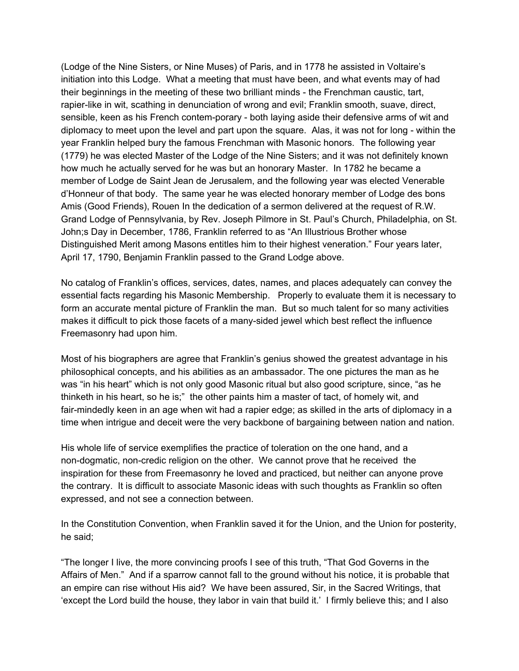(Lodge of the Nine Sisters, or Nine Muses) of Paris, and in 1778 he assisted in Voltaire's initiation into this Lodge. What a meeting that must have been, and what events may of had their beginnings in the meeting of these two brilliant minds - the Frenchman caustic, tart, rapier-like in wit, scathing in denunciation of wrong and evil; Franklin smooth, suave, direct, sensible, keen as his French contem-porary - both laying aside their defensive arms of wit and diplomacy to meet upon the level and part upon the square. Alas, it was not for long - within the year Franklin helped bury the famous Frenchman with Masonic honors. The following year (1779) he was elected Master of the Lodge of the Nine Sisters; and it was not definitely known how much he actually served for he was but an honorary Master. In 1782 he became a member of Lodge de Saint Jean de Jerusalem, and the following year was elected Venerable d'Honneur of that body. The same year he was elected honorary member of Lodge des bons Amis (Good Friends), Rouen In the dedication of a sermon delivered at the request of R.W. Grand Lodge of Pennsylvania, by Rev. Joseph Pilmore in St. Paul's Church, Philadelphia, on St. John;s Day in December, 1786, Franklin referred to as "An Illustrious Brother whose Distinguished Merit among Masons entitles him to their highest veneration." Four years later, April 17, 1790, Benjamin Franklin passed to the Grand Lodge above.

No catalog of Franklin's offices, services, dates, names, and places adequately can convey the essential facts regarding his Masonic Membership. Properly to evaluate them it is necessary to form an accurate mental picture of Franklin the man. But so much talent for so many activities makes it difficult to pick those facets of a many-sided jewel which best reflect the influence Freemasonry had upon him.

Most of his biographers are agree that Franklin's genius showed the greatest advantage in his philosophical concepts, and his abilities as an ambassador. The one pictures the man as he was "in his heart" which is not only good Masonic ritual but also good scripture, since, "as he thinketh in his heart, so he is;" the other paints him a master of tact, of homely wit, and fair-mindedly keen in an age when wit had a rapier edge; as skilled in the arts of diplomacy in a time when intrigue and deceit were the very backbone of bargaining between nation and nation.

His whole life of service exemplifies the practice of toleration on the one hand, and a non-dogmatic, non-credic religion on the other. We cannot prove that he received the inspiration for these from Freemasonry he loved and practiced, but neither can anyone prove the contrary. It is difficult to associate Masonic ideas with such thoughts as Franklin so often expressed, and not see a connection between.

In the Constitution Convention, when Franklin saved it for the Union, and the Union for posterity, he said;

"The longer I live, the more convincing proofs I see of this truth, "That God Governs in the Affairs of Men." And if a sparrow cannot fall to the ground without his notice, it is probable that an empire can rise without His aid? We have been assured, Sir, in the Sacred Writings, that 'except the Lord build the house, they labor in vain that build it.' I firmly believe this; and I also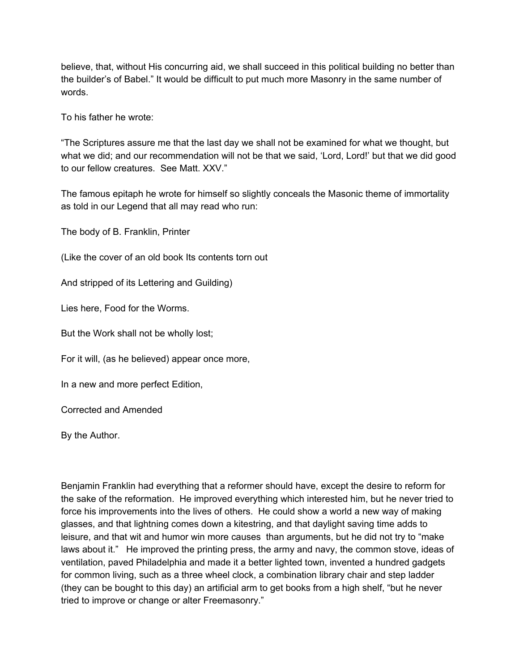believe, that, without His concurring aid, we shall succeed in this political building no better than the builder's of Babel." It would be difficult to put much more Masonry in the same number of words.

To his father he wrote:

"The Scriptures assure me that the last day we shall not be examined for what we thought, but what we did; and our recommendation will not be that we said, 'Lord, Lord!' but that we did good to our fellow creatures. See Matt. XXV."

The famous epitaph he wrote for himself so slightly conceals the Masonic theme of immortality as told in our Legend that all may read who run:

The body of B. Franklin, Printer

(Like the cover of an old book Its contents torn out

And stripped of its Lettering and Guilding)

Lies here, Food for the Worms.

But the Work shall not be wholly lost;

For it will, (as he believed) appear once more,

In a new and more perfect Edition,

Corrected and Amended

By the Author.

Benjamin Franklin had everything that a reformer should have, except the desire to reform for the sake of the reformation. He improved everything which interested him, but he never tried to force his improvements into the lives of others. He could show a world a new way of making glasses, and that lightning comes down a kitestring, and that daylight saving time adds to leisure, and that wit and humor win more causes than arguments, but he did not try to "make laws about it." He improved the printing press, the army and navy, the common stove, ideas of ventilation, paved Philadelphia and made it a better lighted town, invented a hundred gadgets for common living, such as a three wheel clock, a combination library chair and step ladder (they can be bought to this day) an artificial arm to get books from a high shelf, "but he never tried to improve or change or alter Freemasonry."